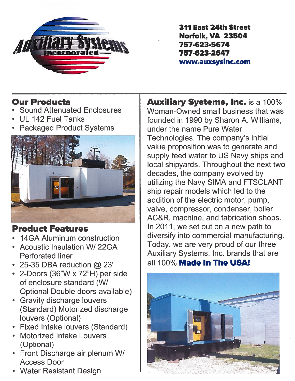

311 East 24th Street Norfolk, VA 23504 757-623-5674757-623-2647www.auxsysinc.com

## Our Products

- •Sound Attenuated Enclosures
- •UL 142 Fuel Tanks
- •Packaged Product Systems



## Product Features

- $\;\cdot\;$  14GA Aluminum construction
- Acoustic Insulation W/ 22GAPerforated liner
- 25-35 DBA reduction  $@$  23
- 2-Doors (36"W <sup>x</sup> 72"H) per side of enclosure standard (WI Optional Double doors available)
- Gravity discharge louvers (Standard) Motorized discharge louvers (Optional)
- Fixed Intake louvers (Standard)
- Motorized Intake Louvers (Optional)
- Front Discharge air plenum WI Access Door
- Water Resistant Design

Auxiliary Systems, Inc. is <sup>a</sup> 100% Woman-Owned small business that was founded in 1990 by Sharon A. Williams, under the name Pure Water Technologies. The company's initial value proposition was to generate and supply feed water to US Navy ships and local shipyards. Throughout the next two decades, the company evolved by utilizing the Navy SIMA and FTSCLANT ship repair models which led to the addition of the electric motor, pump, valve, compressor, condenser, boiler, AC&R, machine, and fabrication shops. In 2011, we set out on <sup>a</sup> new path to diversify into commercial manufacturing. Today, we are very proud of our three Auxiliary Systems, Inc. brands that are all 100% **Made In The USA**!